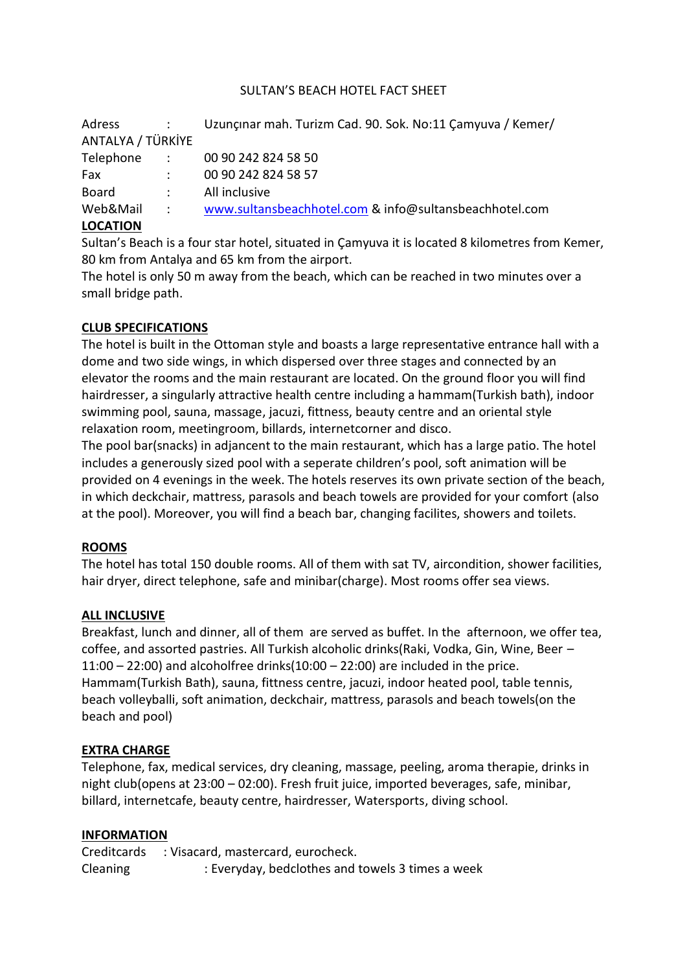### SULTAN'S BEACH HOTEL FACT SHEET

| Adress            |               | Uzunçinar mah. Turizm Cad. 90. Sok. No:11 Çamyuva / Kemer/ |
|-------------------|---------------|------------------------------------------------------------|
| ANTALYA / TÜRKİYE |               |                                                            |
| Telephone         | $\sim 1000$   | 00 90 242 824 58 50                                        |
| Fax               | $\mathcal{L}$ | 00 90 242 824 58 57                                        |
| <b>Board</b>      |               | All inclusive                                              |
| Web&Mail          | $\sim 1000$   | www.sultansbeachhotel.com & info@sultansbeachhotel.com     |
| <b>LOCATION</b>   |               |                                                            |

Sultan's Beach is a four star hotel, situated in Çamyuva it is located 8 kilometres from Kemer, 80 km from Antalya and 65 km from the airport.

The hotel is only 50 m away from the beach, which can be reached in two minutes over a small bridge path.

## **CLUB SPECIFICATIONS**

The hotel is built in the Ottoman style and boasts a large representative entrance hall with a dome and two side wings, in which dispersed over three stages and connected by an elevator the rooms and the main restaurant are located. On the ground floor you will find hairdresser, a singularly attractive health centre including a hammam(Turkish bath), indoor swimming pool, sauna, massage, jacuzi, fittness, beauty centre and an oriental style relaxation room, meetingroom, billards, internetcorner and disco.

The pool bar(snacks) in adjancent to the main restaurant, which has a large patio. The hotel includes a generously sized pool with a seperate children's pool, soft animation will be provided on 4 evenings in the week. The hotels reserves its own private section of the beach, in which deckchair, mattress, parasols and beach towels are provided for your comfort (also at the pool). Moreover, you will find a beach bar, changing facilites, showers and toilets.

### **ROOMS**

The hotel has total 150 double rooms. All of them with sat TV, aircondition, shower facilities, hair dryer, direct telephone, safe and minibar(charge). Most rooms offer sea views.

### **ALL INCLUSIVE**

Breakfast, lunch and dinner, all of them are served as buffet. In the afternoon, we offer tea, coffee, and assorted pastries. All Turkish alcoholic drinks(Raki, Vodka, Gin, Wine, Beer –  $11:00 - 22:00$ ) and alcoholfree drinks $(10:00 - 22:00)$  are included in the price. Hammam(Turkish Bath), sauna, fittness centre, jacuzi, indoor heated pool, table tennis, beach volleyballi, soft animation, deckchair, mattress, parasols and beach towels(on the beach and pool)

### **EXTRA CHARGE**

Telephone, fax, medical services, dry cleaning, massage, peeling, aroma therapie, drinks in night club(opens at 23:00 – 02:00). Fresh fruit juice, imported beverages, safe, minibar, billard, internetcafe, beauty centre, hairdresser, Watersports, diving school.

### **INFORMATION**

Creditcards : Visacard, mastercard, eurocheck. Cleaning : Everyday, bedclothes and towels 3 times a week